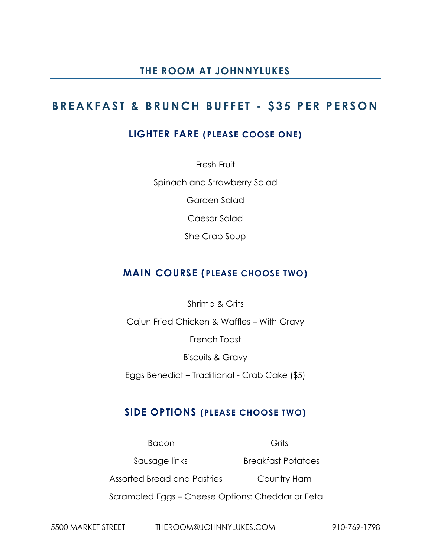# **B R E A K F A S T & B R U N C H B U F F E T - \$ 3 5 P E R P E R S O N**

#### **LIGHTER FARE (PLEASE COOSE ONE)**

Fresh Fruit Spinach and Strawberry Salad

Garden Salad

Caesar Salad

She Crab Soup

#### **MAIN COURSE (PLEASE CHOOSE TWO)**

Shrimp & Grits

Cajun Fried Chicken & Waffles – With Gravy

French Toast

Biscuits & Gravy

Eggs Benedict – Traditional - Crab Cake (\$5)

#### **SIDE OPTIONS (PLEASE CHOOSE TWO)**

Bacon Grits Sausage links Breakfast Potatoes Assorted Bread and Pastries Country Ham Scrambled Eggs – Cheese Options: Cheddar or Feta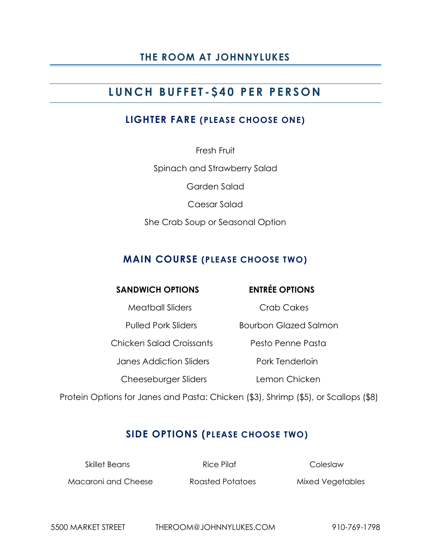# **L U N C H B U F F E T - \$ 4 0 P E R P E R S O N**

#### **LIGHTER FARE (PLEASE CHOOSE ONE)**

Fresh Fruit Spinach and Strawberry Salad Garden Salad Caesar Salad She Crab Soup or Seasonal Option

### **MAIN COURSE (PLEASE CHOOSE TWO)**

#### **SANDWICH OPTIONS ENTRÉE OPTIONS**

Meatball Sliders **Crab Cakes** 

Pulled Pork Sliders Bourbon Glazed Salmon

Chicken Salad Croissants Pesto Penne Pasta

Janes Addiction Sliders **Pork Tenderloin** 

Cheeseburger Sliders **Lemon Chicken** 

Protein Options for Janes and Pasta: Chicken (\$3), Shrimp (\$5), or Scallops (\$8)

# **SIDE OPTIONS (PLEASE CHOOSE TWO)**

Skillet Beans **Rice Pilaf Coleslaw** 

Macaroni and Cheese Roasted Potatoes Mixed Vegetables

5500 MARKET STREET THEROOM@JOHNNYLUKES.COM 910-769-1798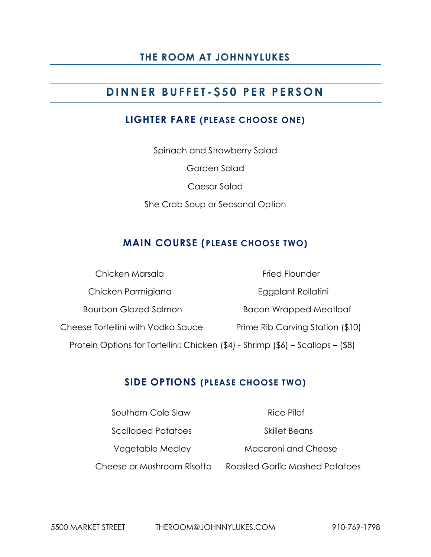# **D I N N E R B U F F E T - \$ 5 0 P E R P E R S O N**

#### **LIGHTER FARE (PLEASE CHOOSE ONE)**

Spinach and Strawberry Salad Garden Salad Caesar Salad She Crab Soup or Seasonal Option

# **MAIN COURSE (PLEASE CHOOSE TWO)**

|                                                                                 | Chicken Marsala                    | <b>Fried Flounder</b>            |
|---------------------------------------------------------------------------------|------------------------------------|----------------------------------|
|                                                                                 | Chicken Parmigiana                 | Eggplant Rollatini               |
|                                                                                 | <b>Bourbon Glazed Salmon</b>       | <b>Bacon Wrapped Meatloaf</b>    |
|                                                                                 | Cheese Tortellini with Vodka Sauce | Prime Rib Carving Station (\$10) |
| Protein Options for Tortellini: Chicken (\$4) - Shrimp (\$6) - Scallops - (\$8) |                                    |                                  |

#### **SIDE OPTIONS (PLEASE CHOOSE TWO)**

| Southern Cole Slaw         | Rice Pilaf                            |
|----------------------------|---------------------------------------|
| <b>Scalloped Potatoes</b>  | Skillet Beans                         |
| Vegetable Medley           | Macaroni and Cheese                   |
| Cheese or Mushroom Risotto | <b>Roasted Garlic Mashed Potatoes</b> |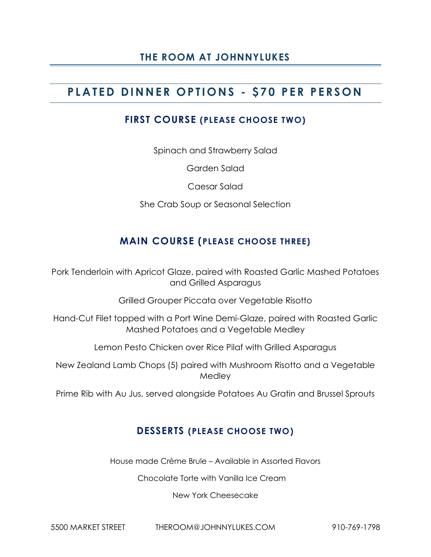# **P L A T E D D I N N E R O P T I O N S - \$ 7 0 P E R P E R S O N**

#### **FIRST COURSE (PLEASE CHOOSE TWO)**

Spinach and Strawberry Salad

Garden Salad

Caesar Salad

She Crab Soup or Seasonal Selection

#### **MAIN COURSE (PLEASE CHOOSE THREE)**

Pork Tenderloin with Apricot Glaze, paired with Roasted Garlic Mashed Potatoes and Grilled Asparagus

Grilled Grouper Piccata over Vegetable Risotto

Hand-Cut Filet topped with a Port Wine Demi-Glaze, paired with Roasted Garlic Mashed Potatoes and a Vegetable Medley

Lemon Pesto Chicken over Rice Pilaf with Grilled Asparagus

New Zealand Lamb Chops (5) paired with Mushroom Risotto and a Vegetable Medley

Prime Rib with Au Jus, served alongside Potatoes Au Gratin and Brussel Sprouts

#### **DESSERTS (PLEASE CHOOSE TWO)**

House made Crème Brule – Available in Assorted Flavors

Chocolate Torte with Vanilla Ice Cream

New York Cheesecake

5500 MARKET STREET THEROOM@JOHNNYLUKES.COM 910-769-1798